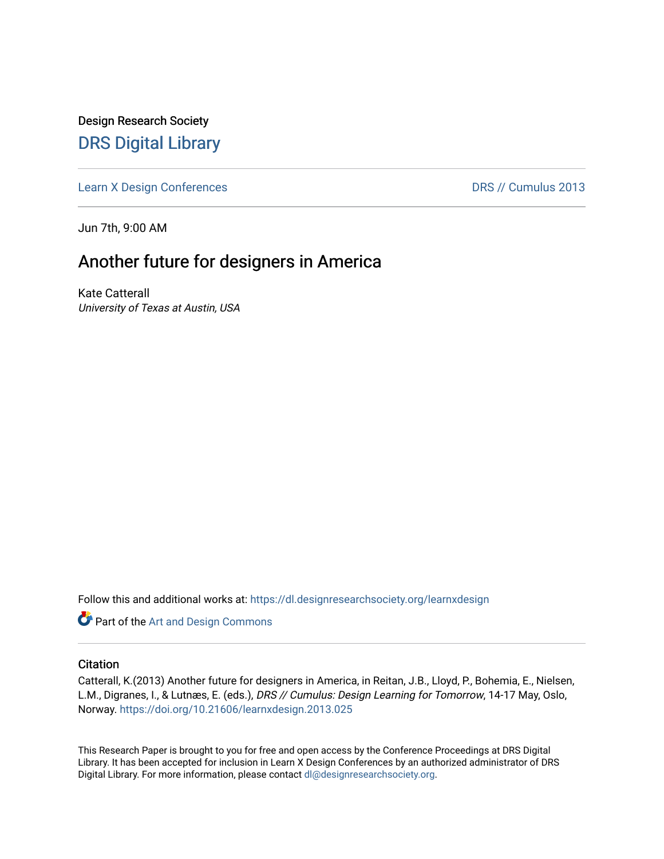Design Research Society [DRS Digital Library](https://dl.designresearchsociety.org/)

[Learn X Design Conferences](https://dl.designresearchsociety.org/learnxdesign) **DRS // Cumulus 2013** 

Jun 7th, 9:00 AM

# Another future for designers in America

Kate Catterall University of Texas at Austin, USA

Follow this and additional works at: [https://dl.designresearchsociety.org/learnxdesign](https://dl.designresearchsociety.org/learnxdesign?utm_source=dl.designresearchsociety.org%2Flearnxdesign%2Flearnxdesign2013%2Fresearchpapers%2F25&utm_medium=PDF&utm_campaign=PDFCoverPages)

**Part of the [Art and Design Commons](http://network.bepress.com/hgg/discipline/1049?utm_source=dl.designresearchsociety.org%2Flearnxdesign%2Flearnxdesign2013%2Fresearchpapers%2F25&utm_medium=PDF&utm_campaign=PDFCoverPages)** 

## **Citation**

Catterall, K.(2013) Another future for designers in America, in Reitan, J.B., Lloyd, P., Bohemia, E., Nielsen, L.M., Digranes, I., & Lutnæs, E. (eds.), DRS // Cumulus: Design Learning for Tomorrow, 14-17 May, Oslo, Norway.<https://doi.org/10.21606/learnxdesign.2013.025>

This Research Paper is brought to you for free and open access by the Conference Proceedings at DRS Digital Library. It has been accepted for inclusion in Learn X Design Conferences by an authorized administrator of DRS Digital Library. For more information, please contact [dl@designresearchsociety.org](mailto:dl@designresearchsociety.org).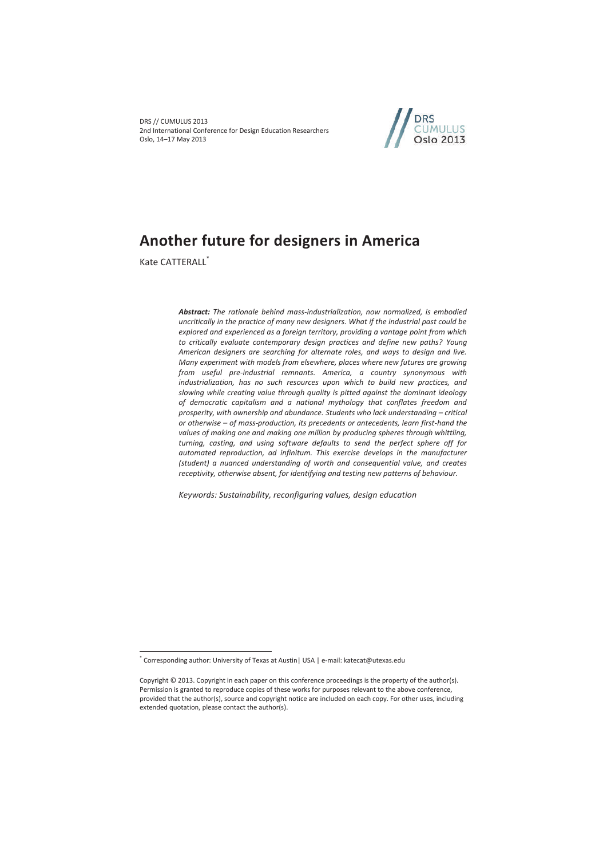DRS // CUMULUS 2013 2nd International Conference for Design Education Researchers Oslo, 14–17 May 2013



## **Another future for designers in America**

Kate CATTERALL<sup>\*</sup>

 $\overline{a}$ 

*Abstract: The rationale behind mass-industrialization, now normalized, is embodied uncritically in the practice of many new designers. What if the industrial past could be explored and experienced as a foreign territory, providing a vantage point from which to critically evaluate contemporary design practices and define new paths? Young American designers are searching for alternate roles, and ways to design and live. Many experiment with models from elsewhere, places where new futures are growing from useful pre-industrial remnants. America, a country synonymous with industrialization, has no such resources upon which to build new practices, and slowing while creating value through quality is pitted against the dominant ideology of democratic capitalism and a national mythology that conflates freedom and prosperity, with ownership and abundance. Students who lack understanding – critical or otherwise – of mass-production, its precedents or antecedents, learn first-hand the values of making one and making one million by producing spheres through whittling, turning, casting, and using software defaults to send the perfect sphere off for automated reproduction, ad infinitum. This exercise develops in the manufacturer (student) a nuanced understanding of worth and consequential value, and creates receptivity, otherwise absent, for identifying and testing new patterns of behaviour.* 

*Keywords: Sustainability, reconfiguring values, design education* 

<sup>\*</sup> Corresponding author: University of Texas at Austin| USA | e-mail: katecat@utexas.edu

Copyright © 2013. Copyright in each paper on this conference proceedings is the property of the author(s). Permission is granted to reproduce copies of these works for purposes relevant to the above conference, provided that the author(s), source and copyright notice are included on each copy. For other uses, including extended quotation, please contact the author(s).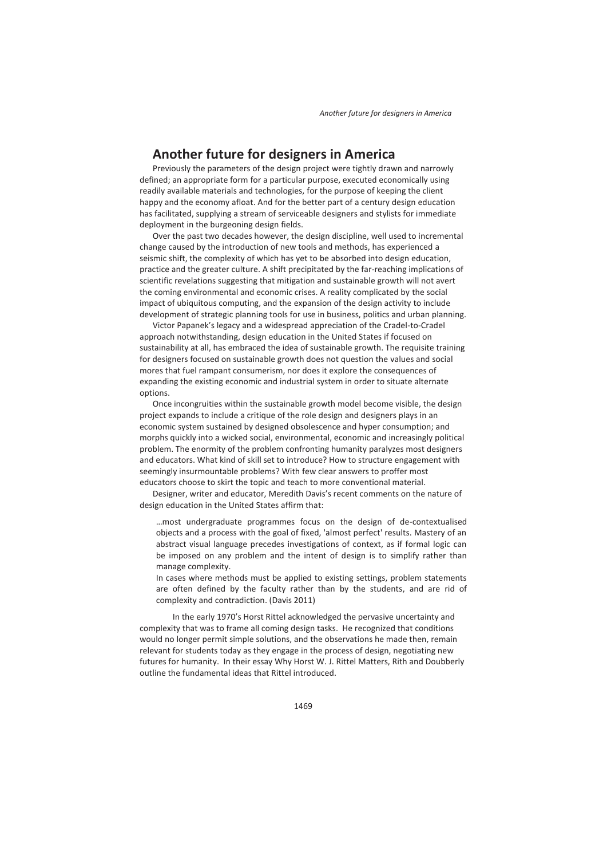## **Another future for designers in America**

Previously the parameters of the design project were tightly drawn and narrowly defined; an appropriate form for a particular purpose, executed economically using readily available materials and technologies, for the purpose of keeping the client happy and the economy afloat. And for the better part of a century design education has facilitated, supplying a stream of serviceable designers and stylists for immediate deployment in the burgeoning design fields.

Over the past two decades however, the design discipline, well used to incremental change caused by the introduction of new tools and methods, has experienced a seismic shift, the complexity of which has yet to be absorbed into design education, practice and the greater culture. A shift precipitated by the far-reaching implications of scientific revelations suggesting that mitigation and sustainable growth will not avert the coming environmental and economic crises. A reality complicated by the social impact of ubiquitous computing, and the expansion of the design activity to include development of strategic planning tools for use in business, politics and urban planning.

Victor Papanek's legacy and a widespread appreciation of the Cradel-to-Cradel approach notwithstanding, design education in the United States if focused on sustainability at all, has embraced the idea of sustainable growth. The requisite training for designers focused on sustainable growth does not question the values and social mores that fuel rampant consumerism, nor does it explore the consequences of expanding the existing economic and industrial system in order to situate alternate options.

Once incongruities within the sustainable growth model become visible, the design project expands to include a critique of the role design and designers plays in an economic system sustained by designed obsolescence and hyper consumption; and morphs quickly into a wicked social, environmental, economic and increasingly political problem. The enormity of the problem confronting humanity paralyzes most designers and educators. What kind of skill set to introduce? How to structure engagement with seemingly insurmountable problems? With few clear answers to proffer most educators choose to skirt the topic and teach to more conventional material.

Designer, writer and educator, Meredith Davis's recent comments on the nature of design education in the United States affirm that:

…most undergraduate programmes focus on the design of de-contextualised objects and a process with the goal of fixed, 'almost perfect' results. Mastery of an abstract visual language precedes investigations of context, as if formal logic can be imposed on any problem and the intent of design is to simplify rather than manage complexity.

In cases where methods must be applied to existing settings, problem statements are often defined by the faculty rather than by the students, and are rid of complexity and contradiction. (Davis 2011)

 In the early 1970's Horst Rittel acknowledged the pervasive uncertainty and complexity that was to frame all coming design tasks. He recognized that conditions would no longer permit simple solutions, and the observations he made then, remain relevant for students today as they engage in the process of design, negotiating new futures for humanity. In their essay Why Horst W. J. Rittel Matters, Rith and Doubberly outline the fundamental ideas that Rittel introduced.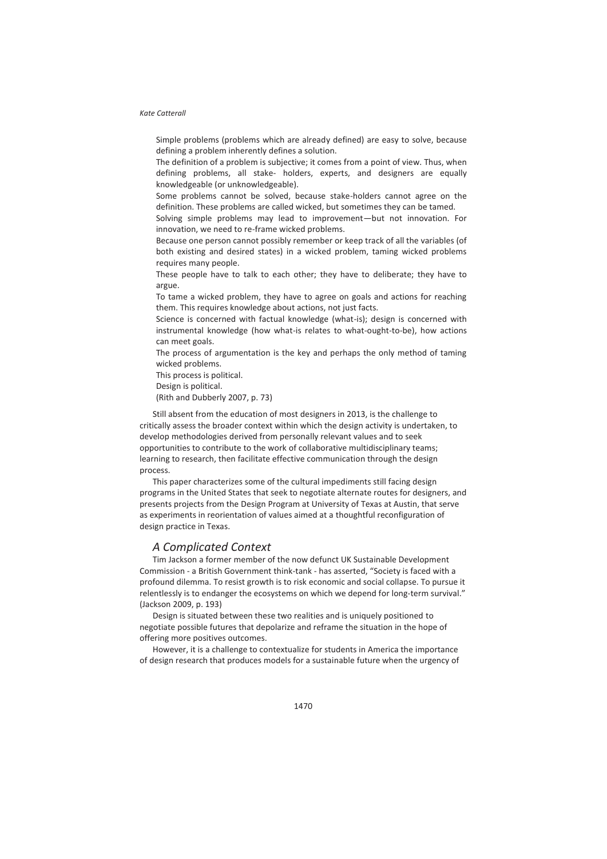Simple problems (problems which are already defined) are easy to solve, because defining a problem inherently defines a solution.

The definition of a problem is subjective; it comes from a point of view. Thus, when defining problems, all stake- holders, experts, and designers are equally knowledgeable (or unknowledgeable).

Some problems cannot be solved, because stake-holders cannot agree on the definition. These problems are called wicked, but sometimes they can be tamed.

Solving simple problems may lead to improvement—but not innovation. For innovation, we need to re-frame wicked problems.

Because one person cannot possibly remember or keep track of all the variables (of both existing and desired states) in a wicked problem, taming wicked problems requires many people.

These people have to talk to each other; they have to deliberate; they have to argue.

To tame a wicked problem, they have to agree on goals and actions for reaching them. This requires knowledge about actions, not just facts.

Science is concerned with factual knowledge (what-is); design is concerned with instrumental knowledge (how what-is relates to what-ought-to-be), how actions can meet goals.

The process of argumentation is the key and perhaps the only method of taming wicked problems.

This process is political.

Design is political.

(Rith and Dubberly 2007, p. 73)

Still absent from the education of most designers in 2013, is the challenge to critically assess the broader context within which the design activity is undertaken, to develop methodologies derived from personally relevant values and to seek opportunities to contribute to the work of collaborative multidisciplinary teams; learning to research, then facilitate effective communication through the design process.

This paper characterizes some of the cultural impediments still facing design programs in the United States that seek to negotiate alternate routes for designers, and presents projects from the Design Program at University of Texas at Austin, that serve as experiments in reorientation of values aimed at a thoughtful reconfiguration of design practice in Texas.

## *A Complicated Context*

Tim Jackson a former member of the now defunct UK Sustainable Development Commission - a British Government think-tank - has asserted, "Society is faced with a profound dilemma. To resist growth is to risk economic and social collapse. To pursue it relentlessly is to endanger the ecosystems on which we depend for long-term survival." (Jackson 2009, p. 193)

Design is situated between these two realities and is uniquely positioned to negotiate possible futures that depolarize and reframe the situation in the hope of offering more positives outcomes.

However, it is a challenge to contextualize for students in America the importance of design research that produces models for a sustainable future when the urgency of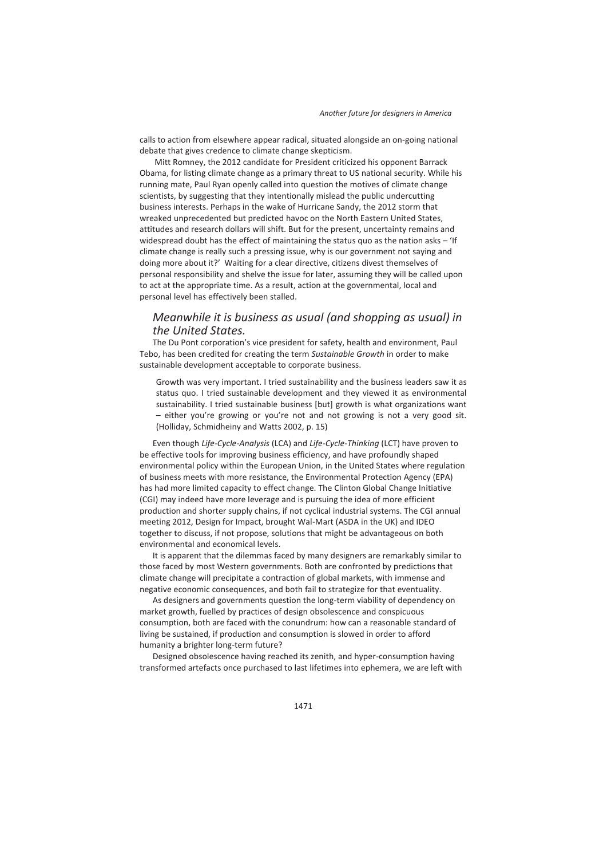calls to action from elsewhere appear radical, situated alongside an on-going national debate that gives credence to climate change skepticism.

 Mitt Romney, the 2012 candidate for President criticized his opponent Barrack Obama, for listing climate change as a primary threat to US national security. While his running mate, Paul Ryan openly called into question the motives of climate change scientists, by suggesting that they intentionally mislead the public undercutting business interests. Perhaps in the wake of Hurricane Sandy, the 2012 storm that wreaked unprecedented but predicted havoc on the North Eastern United States, attitudes and research dollars will shift. But for the present, uncertainty remains and widespread doubt has the effect of maintaining the status quo as the nation asks – 'If climate change is really such a pressing issue, why is our government not saying and doing more about it?' Waiting for a clear directive, citizens divest themselves of personal responsibility and shelve the issue for later, assuming they will be called upon to act at the appropriate time. As a result, action at the governmental, local and personal level has effectively been stalled.

## *Meanwhile it is business as usual (and shopping as usual) in the United States.*

The Du Pont corporation's vice president for safety, health and environment, Paul Tebo, has been credited for creating the term *Sustainable Growth* in order to make sustainable development acceptable to corporate business.

Growth was very important. I tried sustainability and the business leaders saw it as status quo. I tried sustainable development and they viewed it as environmental sustainability. I tried sustainable business [but] growth is what organizations want – either you're growing or you're not and not growing is not a very good sit. (Holliday, Schmidheiny and Watts 2002, p. 15)

Even though *Life-Cycle-Analysis* (LCA) and *Life-Cycle-Thinking* (LCT) have proven to be effective tools for improving business efficiency, and have profoundly shaped environmental policy within the European Union, in the United States where regulation of business meets with more resistance, the Environmental Protection Agency (EPA) has had more limited capacity to effect change. The Clinton Global Change Initiative (CGI) may indeed have more leverage and is pursuing the idea of more efficient production and shorter supply chains, if not cyclical industrial systems. The CGI annual meeting 2012, Design for Impact, brought Wal-Mart (ASDA in the UK) and IDEO together to discuss, if not propose, solutions that might be advantageous on both environmental and economical levels.

It is apparent that the dilemmas faced by many designers are remarkably similar to those faced by most Western governments. Both are confronted by predictions that climate change will precipitate a contraction of global markets, with immense and negative economic consequences, and both fail to strategize for that eventuality.

As designers and governments question the long-term viability of dependency on market growth, fuelled by practices of design obsolescence and conspicuous consumption, both are faced with the conundrum: how can a reasonable standard of living be sustained, if production and consumption is slowed in order to afford humanity a brighter long-term future?

Designed obsolescence having reached its zenith, and hyper-consumption having transformed artefacts once purchased to last lifetimes into ephemera, we are left with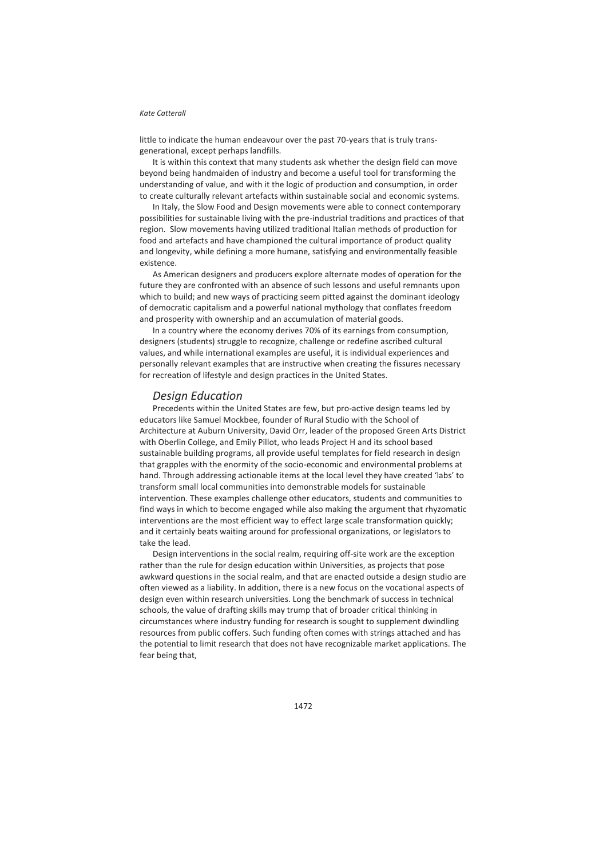little to indicate the human endeavour over the past 70-years that is truly transgenerational, except perhaps landfills.

It is within this context that many students ask whether the design field can move beyond being handmaiden of industry and become a useful tool for transforming the understanding of value, and with it the logic of production and consumption, in order to create culturally relevant artefacts within sustainable social and economic systems.

In Italy, the Slow Food and Design movements were able to connect contemporary possibilities for sustainable living with the pre-industrial traditions and practices of that region. Slow movements having utilized traditional Italian methods of production for food and artefacts and have championed the cultural importance of product quality and longevity, while defining a more humane, satisfying and environmentally feasible existence.

As American designers and producers explore alternate modes of operation for the future they are confronted with an absence of such lessons and useful remnants upon which to build; and new ways of practicing seem pitted against the dominant ideology of democratic capitalism and a powerful national mythology that conflates freedom and prosperity with ownership and an accumulation of material goods.

In a country where the economy derives 70% of its earnings from consumption, designers (students) struggle to recognize, challenge or redefine ascribed cultural values, and while international examples are useful, it is individual experiences and personally relevant examples that are instructive when creating the fissures necessary for recreation of lifestyle and design practices in the United States.

## *Design Education*

Precedents within the United States are few, but pro-active design teams led by educators like Samuel Mockbee, founder of Rural Studio with the School of Architecture at Auburn University, David Orr, leader of the proposed Green Arts District with Oberlin College, and Emily Pillot, who leads Project H and its school based sustainable building programs, all provide useful templates for field research in design that grapples with the enormity of the socio-economic and environmental problems at hand. Through addressing actionable items at the local level they have created 'labs' to transform small local communities into demonstrable models for sustainable intervention. These examples challenge other educators, students and communities to find ways in which to become engaged while also making the argument that rhyzomatic interventions are the most efficient way to effect large scale transformation quickly; and it certainly beats waiting around for professional organizations, or legislators to take the lead.

Design interventions in the social realm, requiring off-site work are the exception rather than the rule for design education within Universities, as projects that pose awkward questions in the social realm, and that are enacted outside a design studio are often viewed as a liability. In addition, there is a new focus on the vocational aspects of design even within research universities. Long the benchmark of success in technical schools, the value of drafting skills may trump that of broader critical thinking in circumstances where industry funding for research is sought to supplement dwindling resources from public coffers. Such funding often comes with strings attached and has the potential to limit research that does not have recognizable market applications. The fear being that,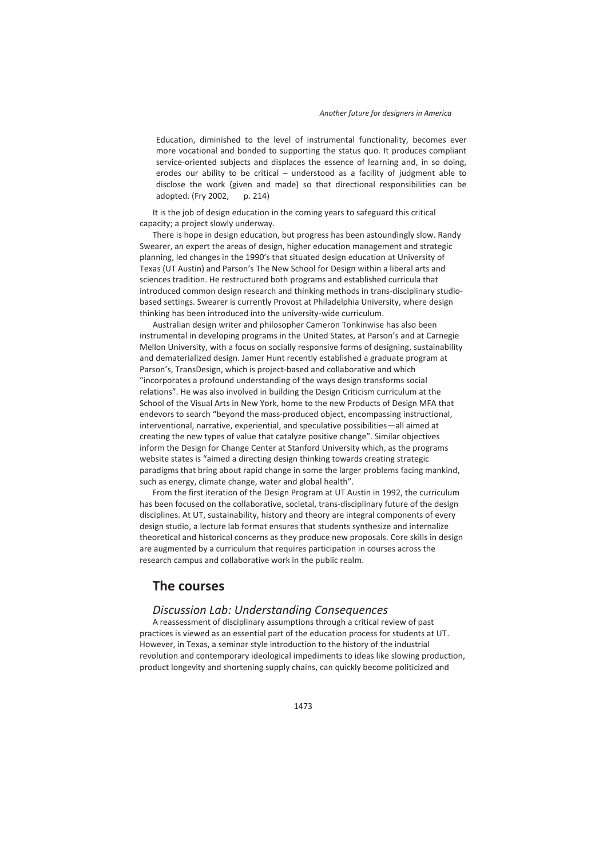Education, diminished to the level of instrumental functionality, becomes ever more vocational and bonded to supporting the status quo. It produces compliant service-oriented subjects and displaces the essence of learning and, in so doing, erodes our ability to be critical – understood as a facility of judgment able to disclose the work (given and made) so that directional responsibilities can be adopted. (Fry 2002, p. 214)

It is the job of design education in the coming years to safeguard this critical capacity; a project slowly underway.

There is hope in design education, but progress has been astoundingly slow. Randy Swearer, an expert the areas of design, higher education management and strategic planning, led changes in the 1990's that situated design education at University of Texas (UT Austin) and Parson's The New School for Design within a liberal arts and sciences tradition. He restructured both programs and established curricula that introduced common design research and thinking methods in trans-disciplinary studiobased settings. Swearer is currently Provost at Philadelphia University, where design thinking has been introduced into the university-wide curriculum.

Australian design writer and philosopher Cameron Tonkinwise has also been instrumental in developing programs in the United States, at Parson's and at Carnegie Mellon University, with a focus on socially responsive forms of designing, sustainability and dematerialized design. Jamer Hunt recently established a graduate program at Parson's, TransDesign, which is project-based and collaborative and which "incorporates a profound understanding of the ways design transforms social relations". He was also involved in building the Design Criticism curriculum at the School of the Visual Arts in New York, home to the new Products of Design MFA that endevors to search "beyond the mass-produced object, encompassing instructional, interventional, narrative, experiential, and speculative possibilities—all aimed at creating the new types of value that catalyze positive change". Similar objectives inform the Design for Change Center at Stanford University which, as the programs website states is "aimed a directing design thinking towards creating strategic paradigms that bring about rapid change in some the larger problems facing mankind, such as energy, climate change, water and global health".

From the first iteration of the Design Program at UT Austin in 1992, the curriculum has been focused on the collaborative, societal, trans-disciplinary future of the design disciplines. At UT, sustainability, history and theory are integral components of every design studio, a lecture lab format ensures that students synthesize and internalize theoretical and historical concerns as they produce new proposals. Core skills in design are augmented by a curriculum that requires participation in courses across the research campus and collaborative work in the public realm.

## **The courses**

## *Discussion Lab: Understanding Consequences*

A reassessment of disciplinary assumptions through a critical review of past practices is viewed as an essential part of the education process for students at UT. However, in Texas, a seminar style introduction to the history of the industrial revolution and contemporary ideological impediments to ideas like slowing production, product longevity and shortening supply chains, can quickly become politicized and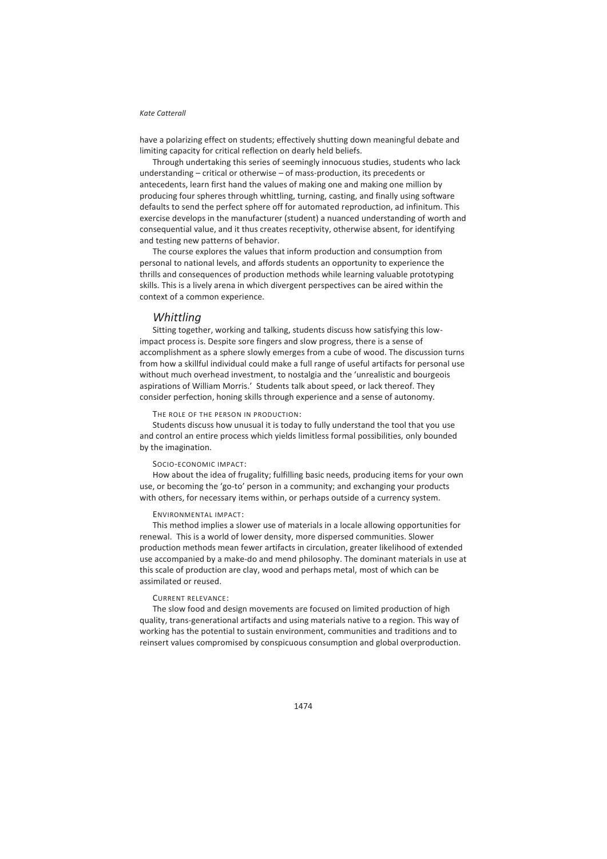have a polarizing effect on students; effectively shutting down meaningful debate and limiting capacity for critical reflection on dearly held beliefs.

Through undertaking this series of seemingly innocuous studies, students who lack understanding – critical or otherwise – of mass-production, its precedents or antecedents, learn first hand the values of making one and making one million by producing four spheres through whittling, turning, casting, and finally using software defaults to send the perfect sphere off for automated reproduction, ad infinitum. This exercise develops in the manufacturer (student) a nuanced understanding of worth and consequential value, and it thus creates receptivity, otherwise absent, for identifying and testing new patterns of behavior.

The course explores the values that inform production and consumption from personal to national levels, and affords students an opportunity to experience the thrills and consequences of production methods while learning valuable prototyping skills. This is a lively arena in which divergent perspectives can be aired within the context of a common experience.

### *Whittling*

Sitting together, working and talking, students discuss how satisfying this lowimpact process is. Despite sore fingers and slow progress, there is a sense of accomplishment as a sphere slowly emerges from a cube of wood. The discussion turns from how a skillful individual could make a full range of useful artifacts for personal use without much overhead investment, to nostalgia and the 'unrealistic and bourgeois aspirations of William Morris.' Students talk about speed, or lack thereof. They consider perfection, honing skills through experience and a sense of autonomy.

#### THE ROLE OF THE PERSON IN PRODUCTION:

Students discuss how unusual it is today to fully understand the tool that you use and control an entire process which yields limitless formal possibilities, only bounded by the imagination.

#### SOCIO-ECONOMIC IMPACT:

How about the idea of frugality; fulfilling basic needs, producing items for your own use, or becoming the 'go-to' person in a community; and exchanging your products with others, for necessary items within, or perhaps outside of a currency system.

#### ENVIRONMENTAL IMPACT:

This method implies a slower use of materials in a locale allowing opportunities for renewal. This is a world of lower density, more dispersed communities. Slower production methods mean fewer artifacts in circulation, greater likelihood of extended use accompanied by a make-do and mend philosophy. The dominant materials in use at this scale of production are clay, wood and perhaps metal, most of which can be assimilated or reused.

#### CURRENT RELEVANCE:

The slow food and design movements are focused on limited production of high quality, trans-generational artifacts and using materials native to a region. This way of working has the potential to sustain environment, communities and traditions and to reinsert values compromised by conspicuous consumption and global overproduction.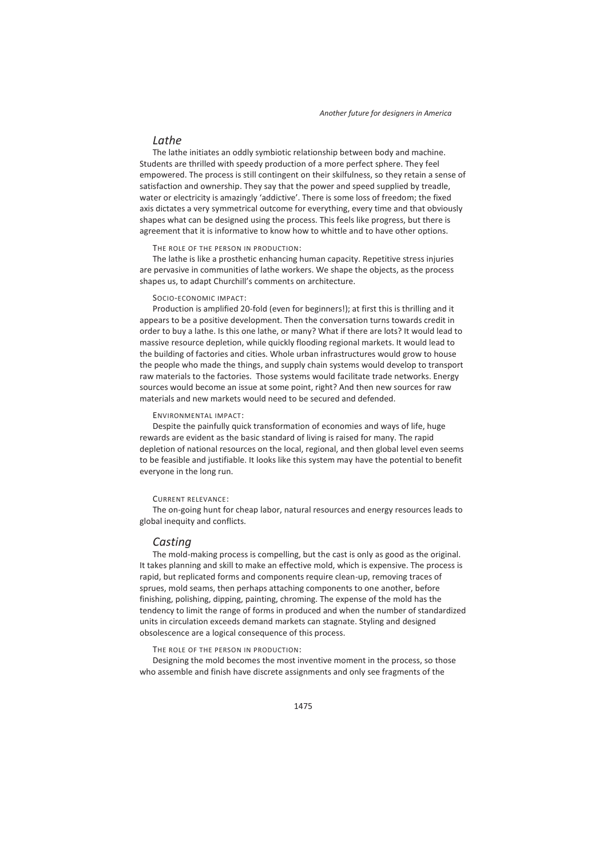## *Lathe*

The lathe initiates an oddly symbiotic relationship between body and machine. Students are thrilled with speedy production of a more perfect sphere. They feel empowered. The process is still contingent on their skilfulness, so they retain a sense of satisfaction and ownership. They say that the power and speed supplied by treadle, water or electricity is amazingly 'addictive'. There is some loss of freedom; the fixed axis dictates a very symmetrical outcome for everything, every time and that obviously shapes what can be designed using the process. This feels like progress, but there is agreement that it is informative to know how to whittle and to have other options.

#### THE ROLE OF THE PERSON IN PRODUCTION:

The lathe is like a prosthetic enhancing human capacity. Repetitive stress injuries are pervasive in communities of lathe workers. We shape the objects, as the process shapes us, to adapt Churchill's comments on architecture.

#### SOCIO-ECONOMIC IMPACT:

Production is amplified 20-fold (even for beginners!); at first this is thrilling and it appears to be a positive development. Then the conversation turns towards credit in order to buy a lathe. Is this one lathe, or many? What if there are lots? It would lead to massive resource depletion, while quickly flooding regional markets. It would lead to the building of factories and cities. Whole urban infrastructures would grow to house the people who made the things, and supply chain systems would develop to transport raw materials to the factories. Those systems would facilitate trade networks. Energy sources would become an issue at some point, right? And then new sources for raw materials and new markets would need to be secured and defended.

#### ENVIRONMENTAL IMPACT:

Despite the painfully quick transformation of economies and ways of life, huge rewards are evident as the basic standard of living is raised for many. The rapid depletion of national resources on the local, regional, and then global level even seems to be feasible and justifiable. It looks like this system may have the potential to benefit everyone in the long run.

#### CURRENT RELEVANCE:

The on-going hunt for cheap labor, natural resources and energy resources leads to global inequity and conflicts.

## *Casting*

The mold-making process is compelling, but the cast is only as good as the original. It takes planning and skill to make an effective mold, which is expensive. The process is rapid, but replicated forms and components require clean-up, removing traces of sprues, mold seams, then perhaps attaching components to one another, before finishing, polishing, dipping, painting, chroming. The expense of the mold has the tendency to limit the range of forms in produced and when the number of standardized units in circulation exceeds demand markets can stagnate. Styling and designed obsolescence are a logical consequence of this process.

THE ROLE OF THE PERSON IN PRODUCTION:

Designing the mold becomes the most inventive moment in the process, so those who assemble and finish have discrete assignments and only see fragments of the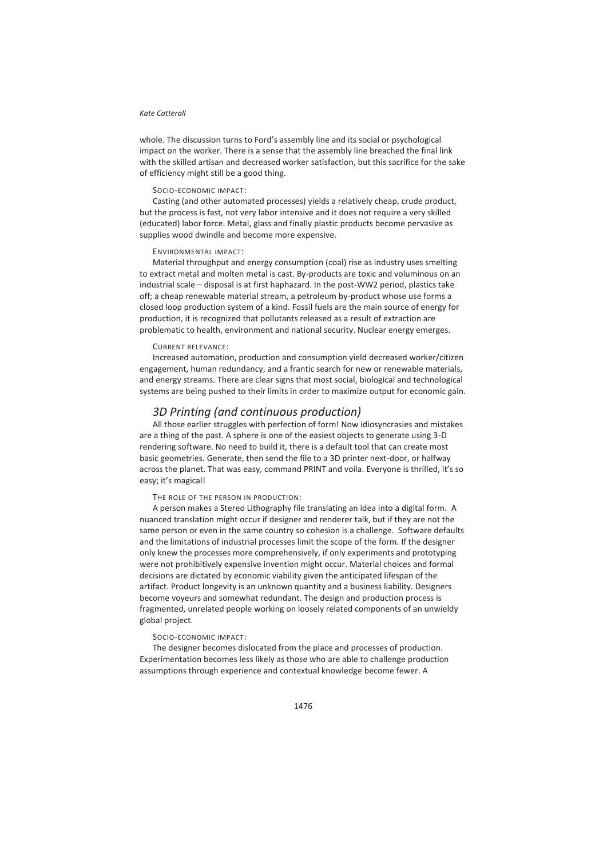whole. The discussion turns to Ford's assembly line and its social or psychological impact on the worker. There is a sense that the assembly line breached the final link with the skilled artisan and decreased worker satisfaction, but this sacrifice for the sake of efficiency might still be a good thing.

#### SOCIO-ECONOMIC IMPACT:

Casting (and other automated processes) yields a relatively cheap, crude product, but the process is fast, not very labor intensive and it does not require a very skilled (educated) labor force. Metal, glass and finally plastic products become pervasive as supplies wood dwindle and become more expensive.

#### ENVIRONMENTAL IMPACT:

Material throughput and energy consumption (coal) rise as industry uses smelting to extract metal and molten metal is cast. By-products are toxic and voluminous on an industrial scale – disposal is at first haphazard. In the post-WW2 period, plastics take off; a cheap renewable material stream, a petroleum by-product whose use forms a closed loop production system of a kind. Fossil fuels are the main source of energy for production, it is recognized that pollutants released as a result of extraction are problematic to health, environment and national security. Nuclear energy emerges.

#### CURRENT RELEVANCE:

Increased automation, production and consumption yield decreased worker/citizen engagement, human redundancy, and a frantic search for new or renewable materials, and energy streams. There are clear signs that most social, biological and technological systems are being pushed to their limits in order to maximize output for economic gain.

## *3D Printing (and continuous production)*

All those earlier struggles with perfection of form! Now idiosyncrasies and mistakes are a thing of the past. A sphere is one of the easiest objects to generate using 3-D rendering software. No need to build it, there is a default tool that can create most basic geometries. Generate, then send the file to a 3D printer next-door, or halfway across the planet. That was easy, command PRINT and voila. Everyone is thrilled, it's so easy; it's magical!

THE ROLE OF THE PERSON IN PRODUCTION:

A person makes a Stereo Lithography file translating an idea into a digital form. A nuanced translation might occur if designer and renderer talk, but if they are not the same person or even in the same country so cohesion is a challenge. Software defaults and the limitations of industrial processes limit the scope of the form. If the designer only knew the processes more comprehensively, if only experiments and prototyping were not prohibitively expensive invention might occur. Material choices and formal decisions are dictated by economic viability given the anticipated lifespan of the artifact. Product longevity is an unknown quantity and a business liability. Designers become voyeurs and somewhat redundant. The design and production process is fragmented, unrelated people working on loosely related components of an unwieldy global project.

#### SOCIO-ECONOMIC IMPACT:

The designer becomes dislocated from the place and processes of production. Experimentation becomes less likely as those who are able to challenge production assumptions through experience and contextual knowledge become fewer. A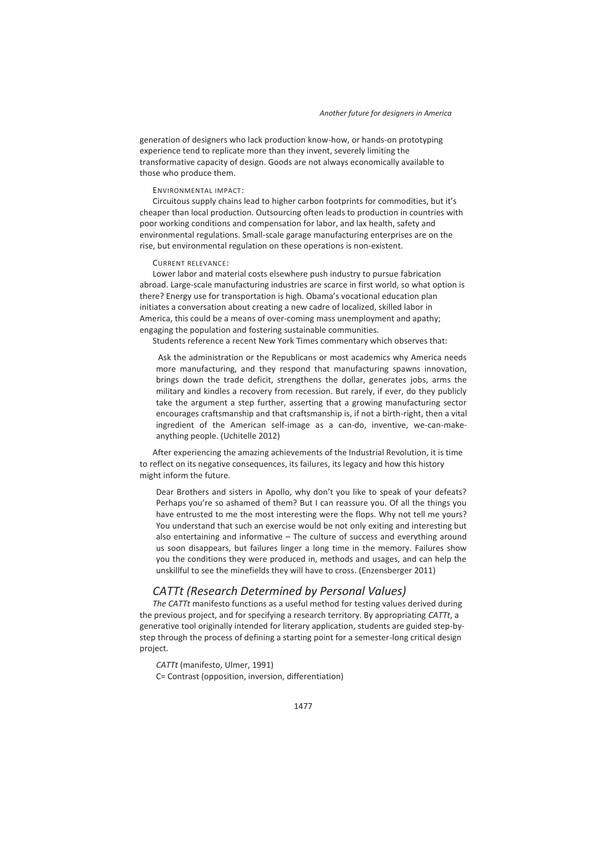generation of designers who lack production know-how, or hands-on prototyping experience tend to replicate more than they invent, severely limiting the transformative capacity of design. Goods are not always economically available to those who produce them.

#### ENVIRONMENTAL IMPACT:

Circuitous supply chains lead to higher carbon footprints for commodities, but it's cheaper than local production. Outsourcing often leads to production in countries with poor working conditions and compensation for labor, and lax health, safety and environmental regulations. Small-scale garage manufacturing enterprises are on the rise, but environmental regulation on these operations is non-existent.

#### CURRENT RELEVANCE:

Lower labor and material costs elsewhere push industry to pursue fabrication abroad. Large-scale manufacturing industries are scarce in first world, so what option is there? Energy use for transportation is high. Obama's vocational education plan initiates a conversation about creating a new cadre of localized, skilled labor in America, this could be a means of over-coming mass unemployment and apathy; engaging the population and fostering sustainable communities.

Students reference a recent New York Times commentary which observes that:

 Ask the administration or the Republicans or most academics why America needs more manufacturing, and they respond that manufacturing spawns innovation, brings down the trade deficit, strengthens the dollar, generates jobs, arms the military and kindles a recovery from recession. But rarely, if ever, do they publicly take the argument a step further, asserting that a growing manufacturing sector encourages craftsmanship and that craftsmanship is, if not a birth-right, then a vital ingredient of the American self-image as a can-do, inventive, we-can-makeanything people. (Uchitelle 2012)

After experiencing the amazing achievements of the Industrial Revolution, it is time to reflect on its negative consequences, its failures, its legacy and how this history might inform the future.

Dear Brothers and sisters in Apollo, why don't you like to speak of your defeats? Perhaps you're so ashamed of them? But I can reassure you. Of all the things you have entrusted to me the most interesting were the flops. Why not tell me yours? You understand that such an exercise would be not only exiting and interesting but also entertaining and informative – The culture of success and everything around us soon disappears, but failures linger a long time in the memory. Failures show you the conditions they were produced in, methods and usages, and can help the unskillful to see the minefields they will have to cross. (Enzensberger 2011)

## *CATTt (Research Determined by Personal Values)*

*The CATTt* manifesto functions as a useful method for testing values derived during the previous project, and for specifying a research territory. By appropriating *CATTt*, a generative tool originally intended for literary application, students are guided step-bystep through the process of defining a starting point for a semester-long critical design project.

*CATTt* (manifesto, Ulmer, 1991) C= Contrast (opposition, inversion, differentiation)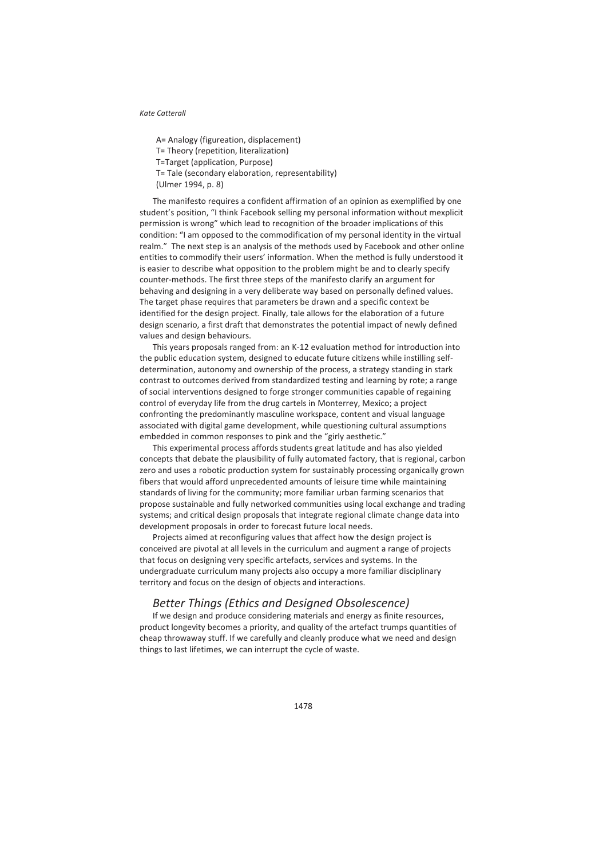A= Analogy (figureation, displacement) T= Theory (repetition, literalization) T=Target (application, Purpose) T= Tale (secondary elaboration, representability) (Ulmer 1994, p. 8)

The manifesto requires a confident affirmation of an opinion as exemplified by one student's position, "I think Facebook selling my personal information without mexplicit permission is wrong" which lead to recognition of the broader implications of this condition: "I am opposed to the commodification of my personal identity in the virtual realm." The next step is an analysis of the methods used by Facebook and other online entities to commodify their users' information. When the method is fully understood it is easier to describe what opposition to the problem might be and to clearly specify counter-methods. The first three steps of the manifesto clarify an argument for behaving and designing in a very deliberate way based on personally defined values. The target phase requires that parameters be drawn and a specific context be identified for the design project. Finally, tale allows for the elaboration of a future design scenario, a first draft that demonstrates the potential impact of newly defined values and design behaviours.

This years proposals ranged from: an K-12 evaluation method for introduction into the public education system, designed to educate future citizens while instilling selfdetermination, autonomy and ownership of the process, a strategy standing in stark contrast to outcomes derived from standardized testing and learning by rote; a range of social interventions designed to forge stronger communities capable of regaining control of everyday life from the drug cartels in Monterrey, Mexico; a project confronting the predominantly masculine workspace, content and visual language associated with digital game development, while questioning cultural assumptions embedded in common responses to pink and the "girly aesthetic."

This experimental process affords students great latitude and has also yielded concepts that debate the plausibility of fully automated factory, that is regional, carbon zero and uses a robotic production system for sustainably processing organically grown fibers that would afford unprecedented amounts of leisure time while maintaining standards of living for the community; more familiar urban farming scenarios that propose sustainable and fully networked communities using local exchange and trading systems; and critical design proposals that integrate regional climate change data into development proposals in order to forecast future local needs.

Projects aimed at reconfiguring values that affect how the design project is conceived are pivotal at all levels in the curriculum and augment a range of projects that focus on designing very specific artefacts, services and systems. In the undergraduate curriculum many projects also occupy a more familiar disciplinary territory and focus on the design of objects and interactions.

## *Better Things (Ethics and Designed Obsolescence)*

If we design and produce considering materials and energy as finite resources, product longevity becomes a priority, and quality of the artefact trumps quantities of cheap throwaway stuff. If we carefully and cleanly produce what we need and design things to last lifetimes, we can interrupt the cycle of waste.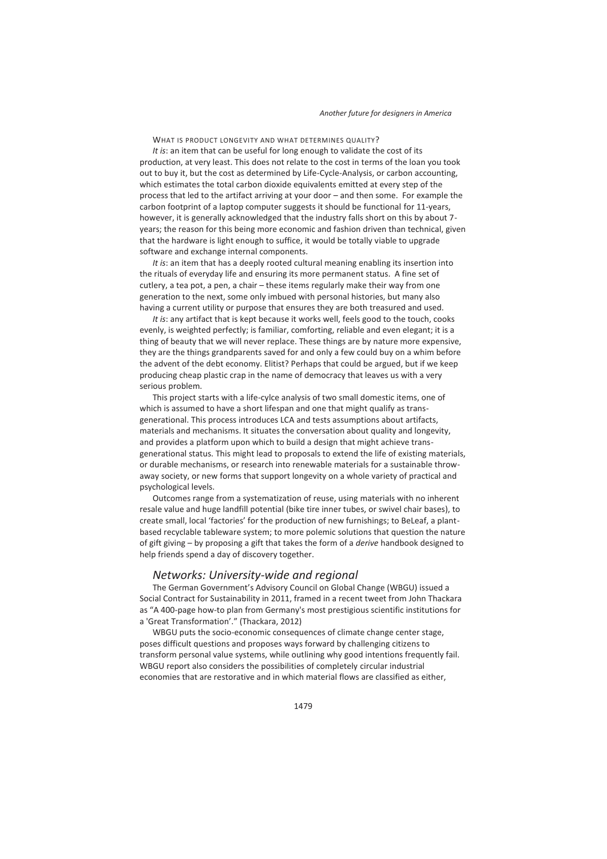WHAT IS PRODUCT LONGEVITY AND WHAT DETERMINES OUALITY?

*It is*: an item that can be useful for long enough to validate the cost of its production, at very least. This does not relate to the cost in terms of the loan you took out to buy it, but the cost as determined by Life-Cycle-Analysis, or carbon accounting, which estimates the total carbon dioxide equivalents emitted at every step of the process that led to the artifact arriving at your door – and then some. For example the carbon footprint of a laptop computer suggests it should be functional for 11-years, however, it is generally acknowledged that the industry falls short on this by about 7 years; the reason for this being more economic and fashion driven than technical, given that the hardware is light enough to suffice, it would be totally viable to upgrade software and exchange internal components.

*It is*: an item that has a deeply rooted cultural meaning enabling its insertion into the rituals of everyday life and ensuring its more permanent status. A fine set of cutlery, a tea pot, a pen, a chair – these items regularly make their way from one generation to the next, some only imbued with personal histories, but many also having a current utility or purpose that ensures they are both treasured and used.

*It is*: any artifact that is kept because it works well, feels good to the touch, cooks evenly, is weighted perfectly; is familiar, comforting, reliable and even elegant; it is a thing of beauty that we will never replace. These things are by nature more expensive, they are the things grandparents saved for and only a few could buy on a whim before the advent of the debt economy. Elitist? Perhaps that could be argued, but if we keep producing cheap plastic crap in the name of democracy that leaves us with a very serious problem.

This project starts with a life-cylce analysis of two small domestic items, one of which is assumed to have a short lifespan and one that might qualify as transgenerational. This process introduces LCA and tests assumptions about artifacts, materials and mechanisms. It situates the conversation about quality and longevity, and provides a platform upon which to build a design that might achieve transgenerational status. This might lead to proposals to extend the life of existing materials, or durable mechanisms, or research into renewable materials for a sustainable throwaway society, or new forms that support longevity on a whole variety of practical and psychological levels.

Outcomes range from a systematization of reuse, using materials with no inherent resale value and huge landfill potential (bike tire inner tubes, or swivel chair bases), to create small, local 'factories' for the production of new furnishings; to BeLeaf, a plantbased recyclable tableware system; to more polemic solutions that question the nature of gift giving – by proposing a gift that takes the form of a *derive* handbook designed to help friends spend a day of discovery together.

### *Networks: University-wide and regional*

The German Government's Advisory Council on Global Change (WBGU) issued a Social Contract for Sustainability in 2011, framed in a recent tweet from John Thackara as "A 400-page how-to plan from Germany's most prestigious scientific institutions for a 'Great Transformation'." (Thackara, 2012)

WBGU puts the socio-economic consequences of climate change center stage, poses difficult questions and proposes ways forward by challenging citizens to transform personal value systems, while outlining why good intentions frequently fail. WBGU report also considers the possibilities of completely circular industrial economies that are restorative and in which material flows are classified as either,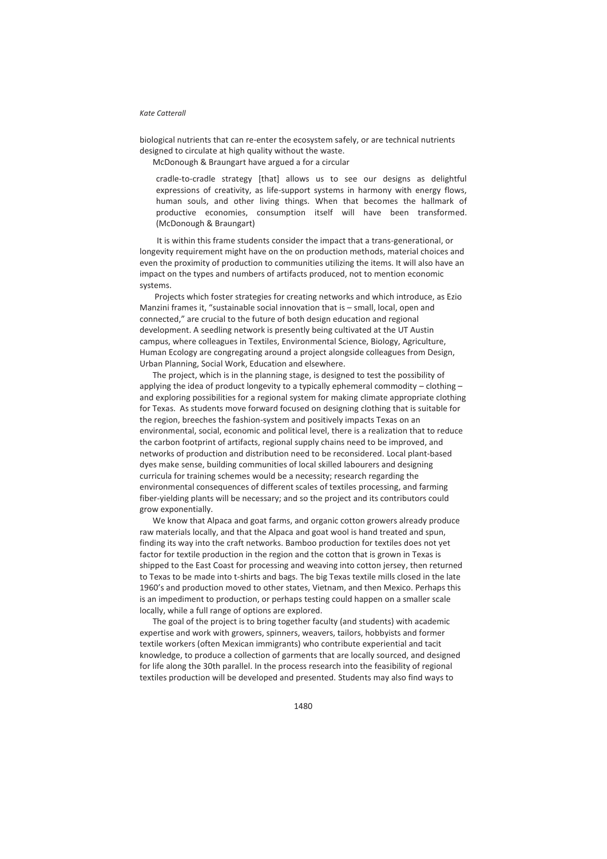biological nutrients that can re-enter the ecosystem safely, or are technical nutrients designed to circulate at high quality without the waste.

McDonough & Braungart have argued a for a circular

cradle-to-cradle strategy [that] allows us to see our designs as delightful expressions of creativity, as life-support systems in harmony with energy flows, human souls, and other living things. When that becomes the hallmark of productive economies, consumption itself will have been transformed. (McDonough & Braungart)

 It is within this frame students consider the impact that a trans-generational, or longevity requirement might have on the on production methods, material choices and even the proximity of production to communities utilizing the items. It will also have an impact on the types and numbers of artifacts produced, not to mention economic systems.

 Projects which foster strategies for creating networks and which introduce, as Ezio Manzini frames it, "sustainable social innovation that is – small, local, open and connected," are crucial to the future of both design education and regional development. A seedling network is presently being cultivated at the UT Austin campus, where colleagues in Textiles, Environmental Science, Biology, Agriculture, Human Ecology are congregating around a project alongside colleagues from Design, Urban Planning, Social Work, Education and elsewhere.

The project, which is in the planning stage, is designed to test the possibility of applying the idea of product longevity to a typically ephemeral commodity – clothing – and exploring possibilities for a regional system for making climate appropriate clothing for Texas. As students move forward focused on designing clothing that is suitable for the region, breeches the fashion-system and positively impacts Texas on an environmental, social, economic and political level, there is a realization that to reduce the carbon footprint of artifacts, regional supply chains need to be improved, and networks of production and distribution need to be reconsidered. Local plant-based dyes make sense, building communities of local skilled labourers and designing curricula for training schemes would be a necessity; research regarding the environmental consequences of different scales of textiles processing, and farming fiber-yielding plants will be necessary; and so the project and its contributors could grow exponentially.

We know that Alpaca and goat farms, and organic cotton growers already produce raw materials locally, and that the Alpaca and goat wool is hand treated and spun, finding its way into the craft networks. Bamboo production for textiles does not yet factor for textile production in the region and the cotton that is grown in Texas is shipped to the East Coast for processing and weaving into cotton jersey, then returned to Texas to be made into t-shirts and bags. The big Texas textile mills closed in the late 1960's and production moved to other states, Vietnam, and then Mexico. Perhaps this is an impediment to production, or perhaps testing could happen on a smaller scale locally, while a full range of options are explored.

The goal of the project is to bring together faculty (and students) with academic expertise and work with growers, spinners, weavers, tailors, hobbyists and former textile workers (often Mexican immigrants) who contribute experiential and tacit knowledge, to produce a collection of garments that are locally sourced, and designed for life along the 30th parallel. In the process research into the feasibility of regional textiles production will be developed and presented. Students may also find ways to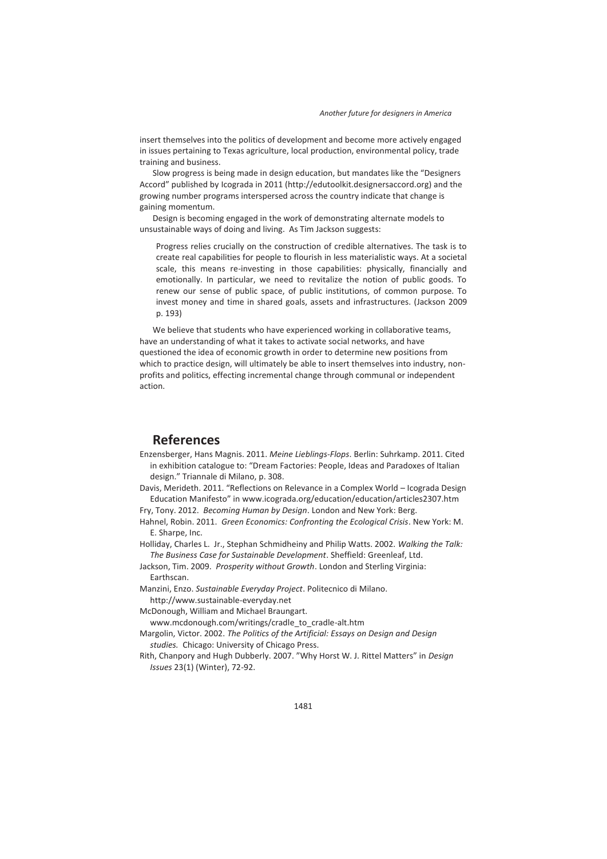insert themselves into the politics of development and become more actively engaged in issues pertaining to Texas agriculture, local production, environmental policy, trade training and business.

Slow progress is being made in design education, but mandates like the "Designers Accord" published by Icograda in 2011 (http://edutoolkit.designersaccord.org) and the growing number programs interspersed across the country indicate that change is gaining momentum.

Design is becoming engaged in the work of demonstrating alternate models to unsustainable ways of doing and living. As Tim Jackson suggests:

Progress relies crucially on the construction of credible alternatives. The task is to create real capabilities for people to flourish in less materialistic ways. At a societal scale, this means re-investing in those capabilities: physically, financially and emotionally. In particular, we need to revitalize the notion of public goods. To renew our sense of public space, of public institutions, of common purpose. To invest money and time in shared goals, assets and infrastructures. (Jackson 2009 p. 193)

We believe that students who have experienced working in collaborative teams, have an understanding of what it takes to activate social networks, and have questioned the idea of economic growth in order to determine new positions from which to practice design, will ultimately be able to insert themselves into industry, nonprofits and politics, effecting incremental change through communal or independent action.

## **References**

Enzensberger, Hans Magnis. 2011. *Meine Lieblings-Flops*. Berlin: Suhrkamp. 2011. Cited in exhibition catalogue to: "Dream Factories: People, Ideas and Paradoxes of Italian design." Triannale di Milano, p. 308.

Davis, Merideth. 2011. "Reflections on Relevance in a Complex World – Icograda Design Education Manifesto" in www.icograda.org/education/education/articles2307.htm

Fry, Tony. 2012. *Becoming Human by Design*. London and New York: Berg.

Hahnel, Robin. 2011. *Green Economics: Confronting the Ecological Crisis*. New York: M. E. Sharpe, Inc.

Holliday, Charles L. Jr., Stephan Schmidheiny and Philip Watts. 2002. *Walking the Talk: The Business Case for Sustainable Development*. Sheffield: Greenleaf, Ltd.

Jackson, Tim. 2009. *Prosperity without Growth*. London and Sterling Virginia: Earthscan.

Manzini, Enzo. *Sustainable Everyday Project*. Politecnico di Milano.

http://www.sustainable-everyday.net

McDonough, William and Michael Braungart.

www.mcdonough.com/writings/cradle\_to\_cradle-alt.htm

Margolin, Victor. 2002. *The Politics of the Artificial: Essays on Design and Design studies.* Chicago: University of Chicago Press.

Rith, Chanpory and Hugh Dubberly. 2007. "Why Horst W. J. Rittel Matters" in *Design Issues* 23(1) (Winter), 72-92.